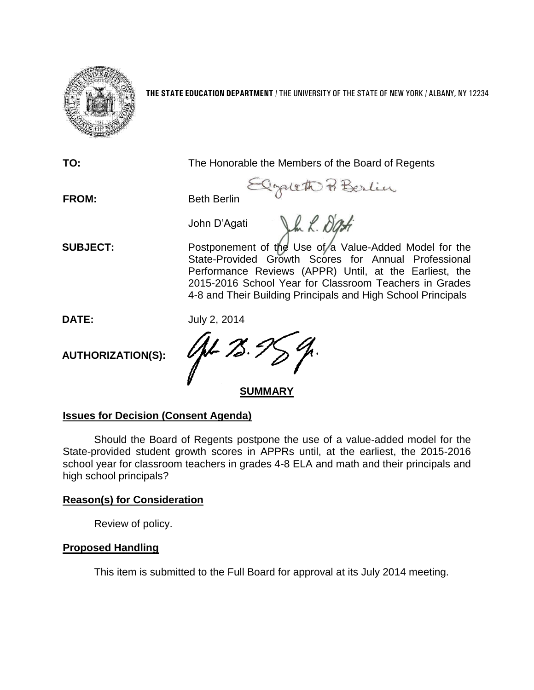

**THE STATE EDUCATION DEPARTMENT** / THE UNIVERSITY OF THE STATE OF NEW YORK / ALBANY, NY 12234

**TO:** The Honorable the Members of the Board of Regents

**FROM:** Beth Berlin

I pleth Po Berlin

John D'Agati

**SUBJECT:** Postponement of the Use of a Value-Added Model for the State-Provided Growth Scores for Annual Professional Performance Reviews (APPR) Until, at the Earliest, the 2015-2016 School Year for Classroom Teachers in Grades 4-8 and Their Building Principals and High School Principals

**DATE:** July 2, 2014

**AUTHORIZATION(S):**

AL 75.

**SUMMARY**

# **Issues for Decision (Consent Agenda)**

Should the Board of Regents postpone the use of a value-added model for the State-provided student growth scores in APPRs until, at the earliest, the 2015-2016 school year for classroom teachers in grades 4-8 ELA and math and their principals and high school principals?

# **Reason(s) for Consideration**

Review of policy.

# **Proposed Handling**

This item is submitted to the Full Board for approval at its July 2014 meeting.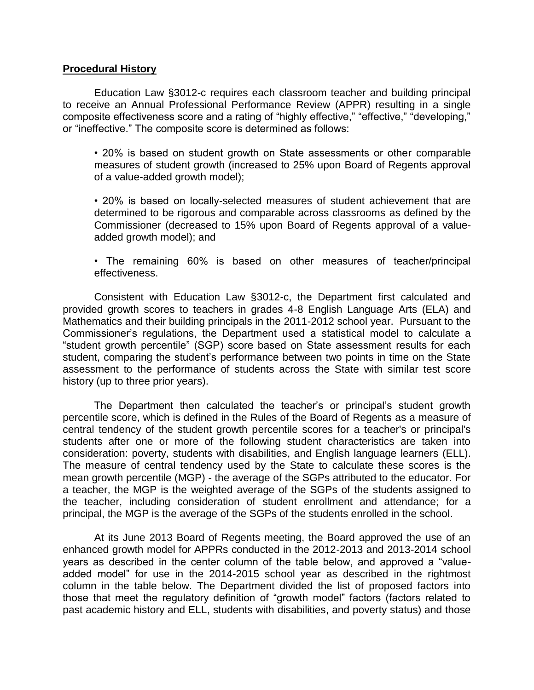## **Procedural History**

Education Law §3012-c requires each classroom teacher and building principal to receive an Annual Professional Performance Review (APPR) resulting in a single composite effectiveness score and a rating of "highly effective," "effective," "developing," or "ineffective." The composite score is determined as follows:

• 20% is based on student growth on State assessments or other comparable measures of student growth (increased to 25% upon Board of Regents approval of a value-added growth model);

• 20% is based on locally-selected measures of student achievement that are determined to be rigorous and comparable across classrooms as defined by the Commissioner (decreased to 15% upon Board of Regents approval of a valueadded growth model); and

• The remaining 60% is based on other measures of teacher/principal effectiveness.

Consistent with Education Law §3012-c, the Department first calculated and provided growth scores to teachers in grades 4-8 English Language Arts (ELA) and Mathematics and their building principals in the 2011-2012 school year. Pursuant to the Commissioner's regulations, the Department used a statistical model to calculate a "student growth percentile" (SGP) score based on State assessment results for each student, comparing the student's performance between two points in time on the State assessment to the performance of students across the State with similar test score history (up to three prior years).

The Department then calculated the teacher's or principal's student growth percentile score, which is defined in the Rules of the Board of Regents as a measure of central tendency of the student growth percentile scores for a teacher's or principal's students after one or more of the following student characteristics are taken into consideration: poverty, students with disabilities, and English language learners (ELL). The measure of central tendency used by the State to calculate these scores is the mean growth percentile (MGP) - the average of the SGPs attributed to the educator. For a teacher, the MGP is the weighted average of the SGPs of the students assigned to the teacher, including consideration of student enrollment and attendance; for a principal, the MGP is the average of the SGPs of the students enrolled in the school.

At its June 2013 Board of Regents meeting, the Board approved the use of an enhanced growth model for APPRs conducted in the 2012-2013 and 2013-2014 school years as described in the center column of the table below, and approved a "valueadded model" for use in the 2014-2015 school year as described in the rightmost column in the table below. The Department divided the list of proposed factors into those that meet the regulatory definition of "growth model" factors (factors related to past academic history and ELL, students with disabilities, and poverty status) and those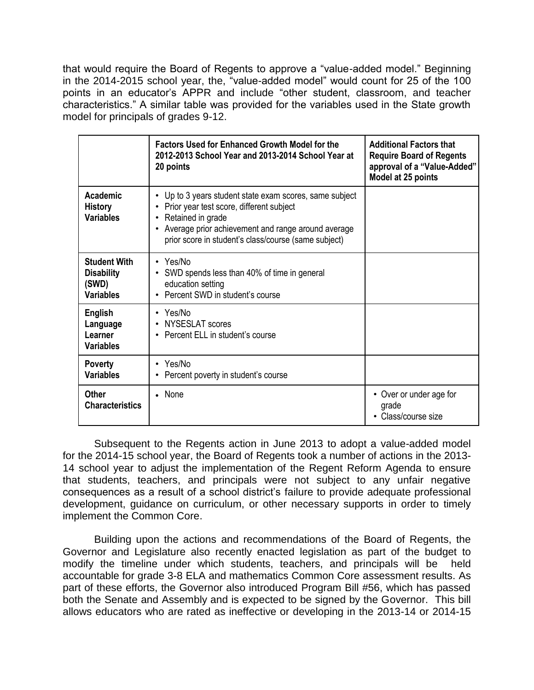that would require the Board of Regents to approve a "value-added model." Beginning in the 2014-2015 school year, the, "value-added model" would count for 25 of the 100 points in an educator's APPR and include "other student, classroom, and teacher characteristics." A similar table was provided for the variables used in the State growth model for principals of grades 9-12.

|                                                                | <b>Factors Used for Enhanced Growth Model for the</b><br>2012-2013 School Year and 2013-2014 School Year at<br>20 points                                                                                                                          | <b>Additional Factors that</b><br><b>Require Board of Regents</b><br>approval of a "Value-Added"<br>Model at 25 points |
|----------------------------------------------------------------|---------------------------------------------------------------------------------------------------------------------------------------------------------------------------------------------------------------------------------------------------|------------------------------------------------------------------------------------------------------------------------|
| Academic<br><b>History</b><br><b>Variables</b>                 | Up to 3 years student state exam scores, same subject<br>$\bullet$<br>Prior year test score, different subject<br>Retained in grade<br>Average prior achievement and range around average<br>prior score in student's class/course (same subject) |                                                                                                                        |
| <b>Student With</b><br><b>Disability</b><br>(SWD)<br>Variables | • Yes/No<br>SWD spends less than 40% of time in general<br>education setting<br>Percent SWD in student's course                                                                                                                                   |                                                                                                                        |
| <b>English</b><br>Language<br>Learner<br>Variables             | • Yes/No<br><b>NYSESLAT scores</b><br>• Percent ELL in student's course                                                                                                                                                                           |                                                                                                                        |
| <b>Poverty</b><br><b>Variables</b>                             | Yes/No<br>Percent poverty in student's course                                                                                                                                                                                                     |                                                                                                                        |
| Other<br><b>Characteristics</b>                                | • None                                                                                                                                                                                                                                            | • Over or under age for<br>grade<br>Class/course size                                                                  |

Subsequent to the Regents action in June 2013 to adopt a value-added model for the 2014-15 school year, the Board of Regents took a number of actions in the 2013- 14 school year to adjust the implementation of the Regent Reform Agenda to ensure that students, teachers, and principals were not subject to any unfair negative consequences as a result of a school district's failure to provide adequate professional development, guidance on curriculum, or other necessary supports in order to timely implement the Common Core.

Building upon the actions and recommendations of the Board of Regents, the Governor and Legislature also recently enacted legislation as part of the budget to modify the timeline under which students, teachers, and principals will be held accountable for grade 3-8 ELA and mathematics Common Core assessment results. As part of these efforts, the Governor also introduced Program Bill #56, which has passed both the Senate and Assembly and is expected to be signed by the Governor. This bill allows educators who are rated as ineffective or developing in the 2013-14 or 2014-15